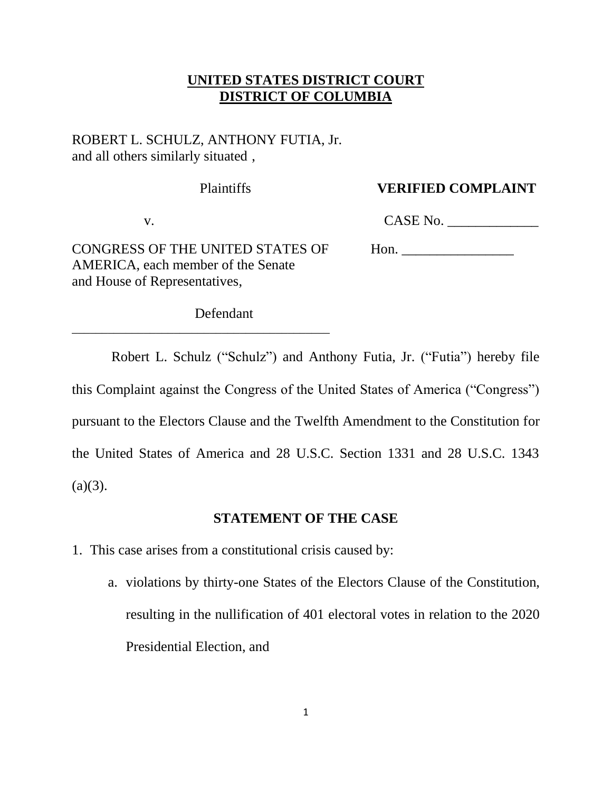## **UNITED STATES DISTRICT COURT DISTRICT OF COLUMBIA**

## ROBERT L. SCHULZ, ANTHONY FUTIA, Jr. and all others similarly situated ,

### Plaintiffs **VERIFIED COMPLAINT**

v. CASE No. \_\_\_\_\_\_\_\_\_\_\_\_\_

CONGRESS OF THE UNITED STATES OF Hon. AMERICA, each member of the Senate and House of Representatives,

\_\_\_\_\_\_\_\_\_\_\_\_\_\_\_\_\_\_\_\_\_\_\_\_\_\_\_\_\_\_\_\_\_\_\_\_\_\_\_\_\_\_\_

Defendant

Robert L. Schulz ("Schulz") and Anthony Futia, Jr. ("Futia") hereby file this Complaint against the Congress of the United States of America ("Congress") pursuant to the Electors Clause and the Twelfth Amendment to the Constitution for the United States of America and 28 U.S.C. Section 1331 and 28 U.S.C. 1343  $(a)(3)$ .

### **STATEMENT OF THE CASE**

- 1. This case arises from a constitutional crisis caused by:
	- a. violations by thirty-one States of the Electors Clause of the Constitution, resulting in the nullification of 401 electoral votes in relation to the 2020 Presidential Election, and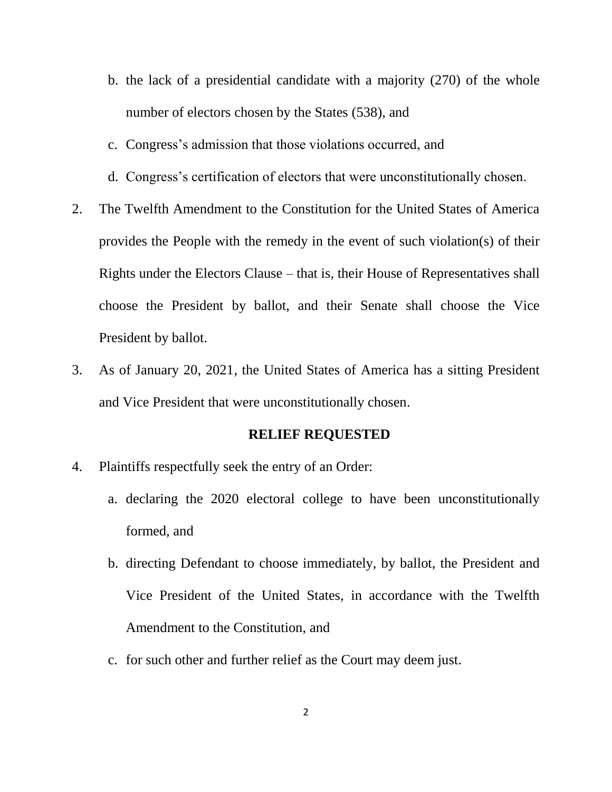- b. the lack of a presidential candidate with a majority (270) of the whole number of electors chosen by the States (538), and
- c. Congress's admission that those violations occurred, and
- d. Congress's certification of electors that were unconstitutionally chosen.
- 2. The Twelfth Amendment to the Constitution for the United States of America provides the People with the remedy in the event of such violation(s) of their Rights under the Electors Clause – that is, their House of Representatives shall choose the President by ballot, and their Senate shall choose the Vice President by ballot.
- 3. As of January 20, 2021, the United States of America has a sitting President and Vice President that were unconstitutionally chosen.

#### **RELIEF REQUESTED**

- 4. Plaintiffs respectfully seek the entry of an Order:
	- a. declaring the 2020 electoral college to have been unconstitutionally formed, and
	- b. directing Defendant to choose immediately, by ballot, the President and Vice President of the United States, in accordance with the Twelfth Amendment to the Constitution, and
	- c. for such other and further relief as the Court may deem just.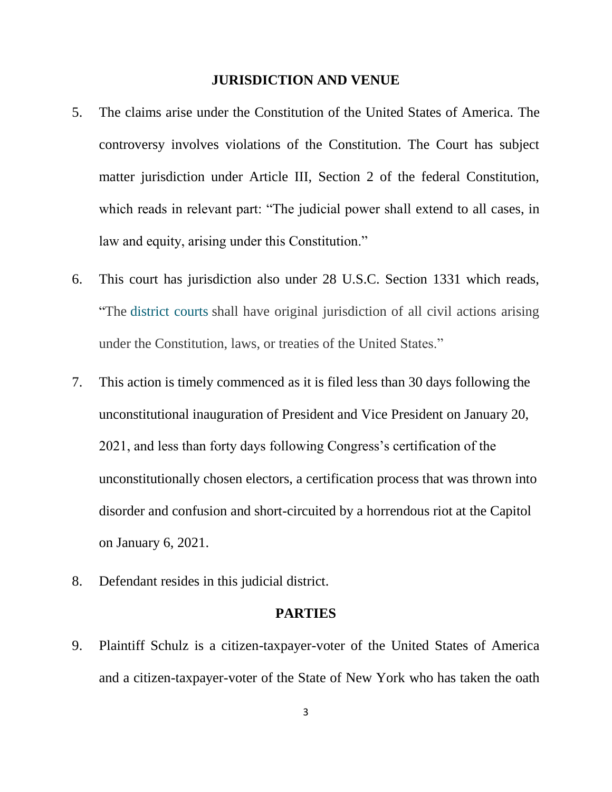#### **JURISDICTION AND VENUE**

- 5. The claims arise under the Constitution of the United States of America. The controversy involves violations of the Constitution. The Court has subject matter jurisdiction under Article III, Section 2 of the federal Constitution, which reads in relevant part: "The judicial power shall extend to all cases, in law and equity, arising under this Constitution."
- 6. This court has jurisdiction also under 28 U.S.C. Section 1331 which reads, "The [district courts](https://www.law.cornell.edu/definitions/uscode.php?width=840&height=800&iframe=true&def_id=28-USC-197249415-2029586402&term_occur=340&term_src=title:28:part:IV:chapter:85:section:1331) shall have original jurisdiction of all civil actions arising under the Constitution, laws, or treaties of the United States."
- 7. This action is timely commenced as it is filed less than 30 days following the unconstitutional inauguration of President and Vice President on January 20, 2021, and less than forty days following Congress's certification of the unconstitutionally chosen electors, a certification process that was thrown into disorder and confusion and short-circuited by a horrendous riot at the Capitol on January 6, 2021.
- 8. Defendant resides in this judicial district.

### **PARTIES**

9. Plaintiff Schulz is a citizen-taxpayer-voter of the United States of America and a citizen-taxpayer-voter of the State of New York who has taken the oath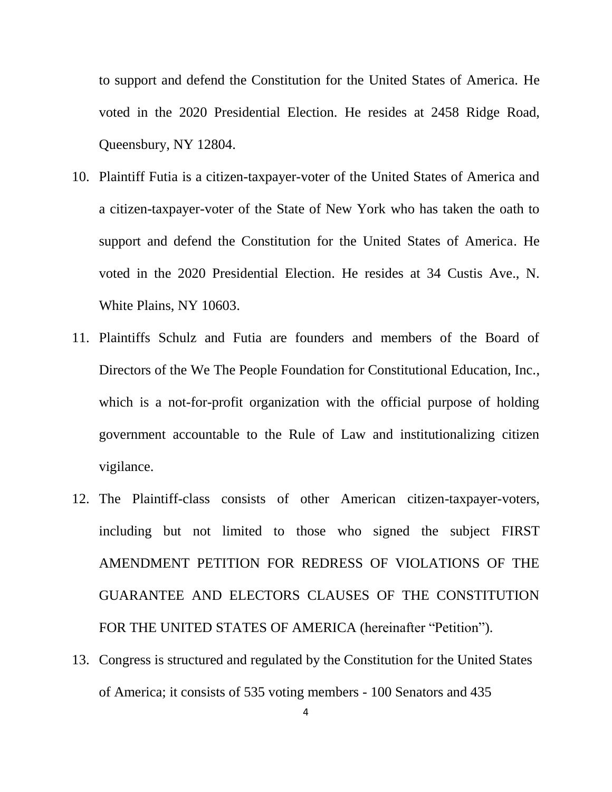to support and defend the Constitution for the United States of America. He voted in the 2020 Presidential Election. He resides at 2458 Ridge Road, Queensbury, NY 12804.

- 10. Plaintiff Futia is a citizen-taxpayer-voter of the United States of America and a citizen-taxpayer-voter of the State of New York who has taken the oath to support and defend the Constitution for the United States of America. He voted in the 2020 Presidential Election. He resides at 34 Custis Ave., N. White Plains, NY 10603.
- 11. Plaintiffs Schulz and Futia are founders and members of the Board of Directors of the We The People Foundation for Constitutional Education, Inc., which is a not-for-profit organization with the official purpose of holding government accountable to the Rule of Law and institutionalizing citizen vigilance.
- 12. The Plaintiff-class consists of other American citizen-taxpayer-voters, including but not limited to those who signed the subject FIRST AMENDMENT PETITION FOR REDRESS OF VIOLATIONS OF THE GUARANTEE AND ELECTORS CLAUSES OF THE CONSTITUTION FOR THE UNITED STATES OF AMERICA (hereinafter "Petition").
- 13. Congress is structured and regulated by the Constitution for the United States of America; it consists of 535 voting members - 100 Senators and 435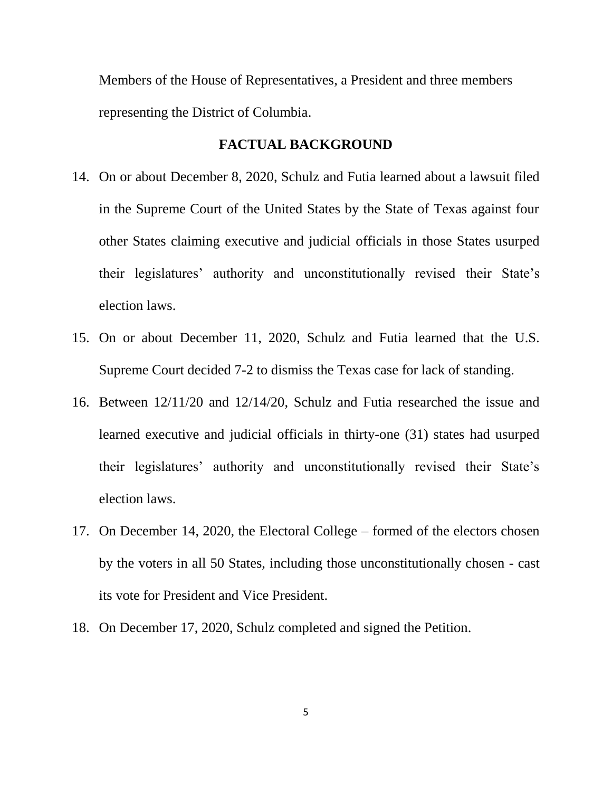Members of the House of Representatives, a President and three members representing the District of Columbia.

### **FACTUAL BACKGROUND**

- 14. On or about December 8, 2020, Schulz and Futia learned about a lawsuit filed in the Supreme Court of the United States by the State of Texas against four other States claiming executive and judicial officials in those States usurped their legislatures' authority and unconstitutionally revised their State's election laws.
- 15. On or about December 11, 2020, Schulz and Futia learned that the U.S. Supreme Court decided 7-2 to dismiss the Texas case for lack of standing.
- 16. Between 12/11/20 and 12/14/20, Schulz and Futia researched the issue and learned executive and judicial officials in thirty-one (31) states had usurped their legislatures' authority and unconstitutionally revised their State's election laws.
- 17. On December 14, 2020, the Electoral College formed of the electors chosen by the voters in all 50 States, including those unconstitutionally chosen - cast its vote for President and Vice President.
- 18. On December 17, 2020, Schulz completed and signed the Petition.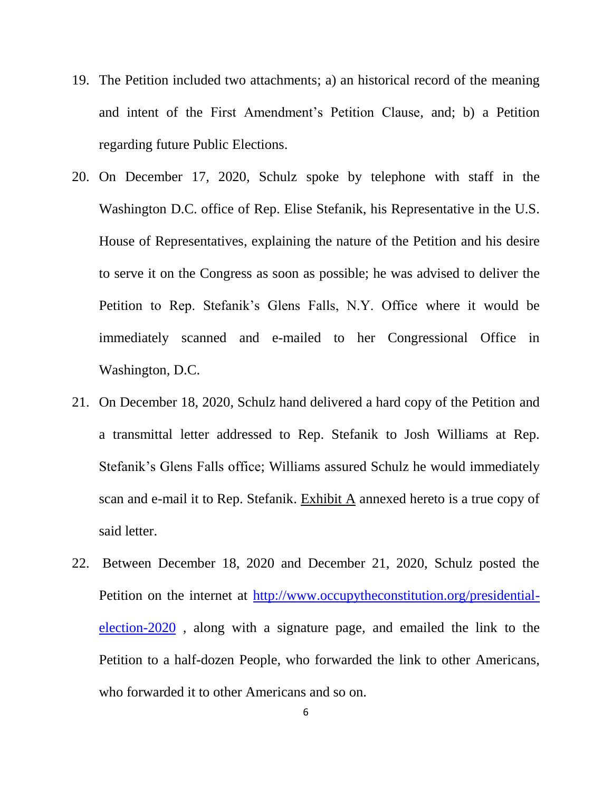- 19. The Petition included two attachments; a) an historical record of the meaning and intent of the First Amendment's Petition Clause, and; b) a Petition regarding future Public Elections.
- 20. On December 17, 2020, Schulz spoke by telephone with staff in the Washington D.C. office of Rep. Elise Stefanik, his Representative in the U.S. House of Representatives, explaining the nature of the Petition and his desire to serve it on the Congress as soon as possible; he was advised to deliver the Petition to Rep. Stefanik's Glens Falls, N.Y. Office where it would be immediately scanned and e-mailed to her Congressional Office in Washington, D.C.
- 21. On December 18, 2020, Schulz hand delivered a hard copy of the Petition and a transmittal letter addressed to Rep. Stefanik to Josh Williams at Rep. Stefanik's Glens Falls office; Williams assured Schulz he would immediately scan and e-mail it to Rep. Stefanik. Exhibit A annexed hereto is a true copy of said letter.
- 22. Between December 18, 2020 and December 21, 2020, Schulz posted the Petition on the internet at [http://www.occupytheconstitution.org/presidential](http://www.occupytheconstitution.org/presidential-election-2020)[election-2020](http://www.occupytheconstitution.org/presidential-election-2020) , along with a signature page, and emailed the link to the Petition to a half-dozen People, who forwarded the link to other Americans, who forwarded it to other Americans and so on.

6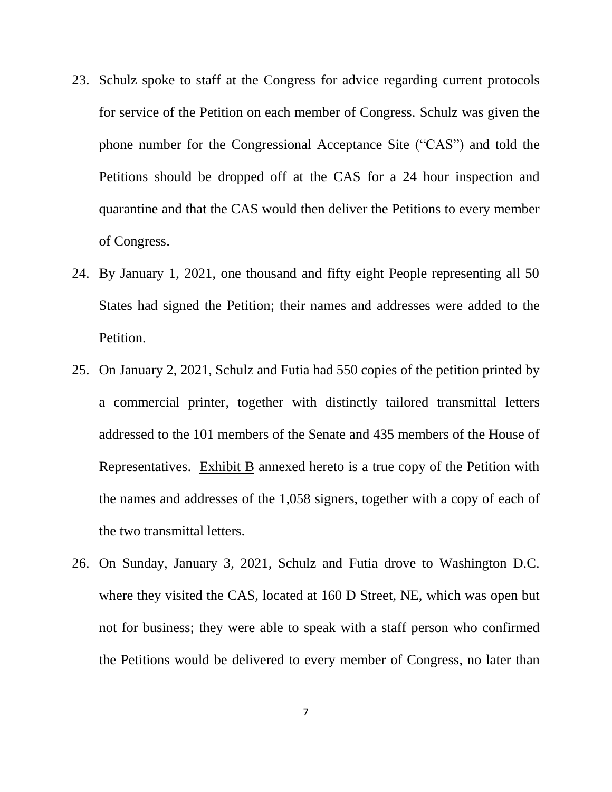- 23. Schulz spoke to staff at the Congress for advice regarding current protocols for service of the Petition on each member of Congress. Schulz was given the phone number for the Congressional Acceptance Site ("CAS") and told the Petitions should be dropped off at the CAS for a 24 hour inspection and quarantine and that the CAS would then deliver the Petitions to every member of Congress.
- 24. By January 1, 2021, one thousand and fifty eight People representing all 50 States had signed the Petition; their names and addresses were added to the Petition.
- 25. On January 2, 2021, Schulz and Futia had 550 copies of the petition printed by a commercial printer, together with distinctly tailored transmittal letters addressed to the 101 members of the Senate and 435 members of the House of Representatives. Exhibit B annexed hereto is a true copy of the Petition with the names and addresses of the 1,058 signers, together with a copy of each of the two transmittal letters.
- 26. On Sunday, January 3, 2021, Schulz and Futia drove to Washington D.C. where they visited the CAS, located at 160 D Street, NE, which was open but not for business; they were able to speak with a staff person who confirmed the Petitions would be delivered to every member of Congress, no later than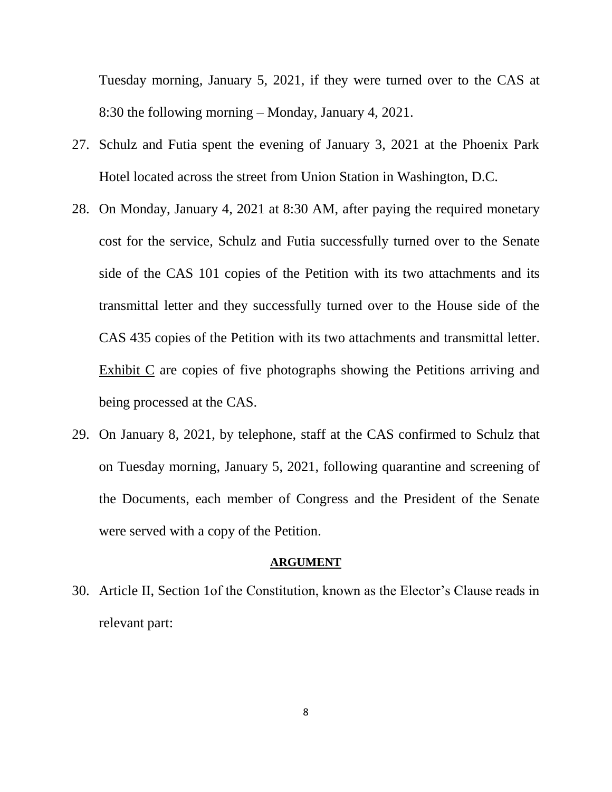Tuesday morning, January 5, 2021, if they were turned over to the CAS at 8:30 the following morning – Monday, January 4, 2021.

- 27. Schulz and Futia spent the evening of January 3, 2021 at the Phoenix Park Hotel located across the street from Union Station in Washington, D.C.
- 28. On Monday, January 4, 2021 at 8:30 AM, after paying the required monetary cost for the service, Schulz and Futia successfully turned over to the Senate side of the CAS 101 copies of the Petition with its two attachments and its transmittal letter and they successfully turned over to the House side of the CAS 435 copies of the Petition with its two attachments and transmittal letter. Exhibit C are copies of five photographs showing the Petitions arriving and being processed at the CAS.
- 29. On January 8, 2021, by telephone, staff at the CAS confirmed to Schulz that on Tuesday morning, January 5, 2021, following quarantine and screening of the Documents, each member of Congress and the President of the Senate were served with a copy of the Petition.

#### **ARGUMENT**

30. Article II, Section 1of the Constitution, known as the Elector's Clause reads in relevant part: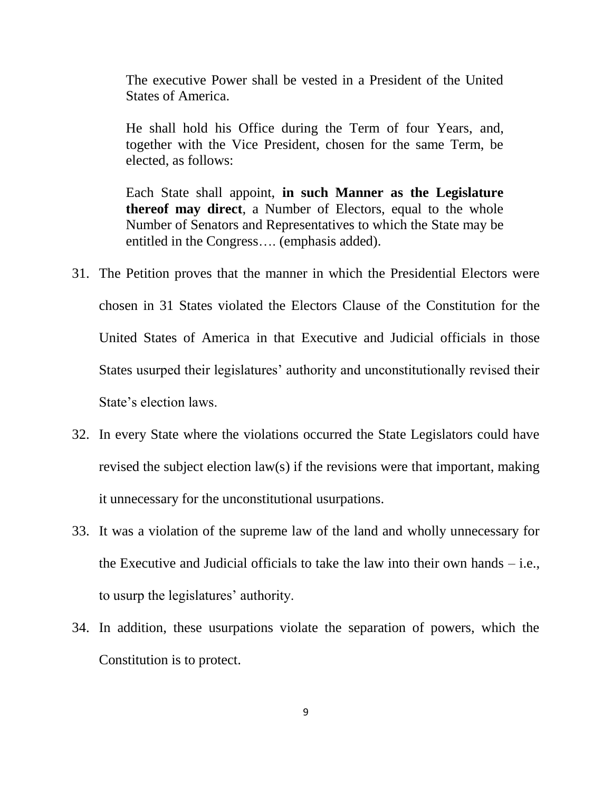The executive Power shall be vested in a President of the United States of America.

He shall hold his Office during the Term of four Years, and, together with the Vice President, chosen for the same Term, be elected, as follows:

Each State shall appoint, **in such Manner as the Legislature thereof may direct**, a Number of Electors, equal to the whole Number of Senators and Representatives to which the State may be entitled in the Congress…. (emphasis added).

- 31. The Petition proves that the manner in which the Presidential Electors were chosen in 31 States violated the Electors Clause of the Constitution for the United States of America in that Executive and Judicial officials in those States usurped their legislatures' authority and unconstitutionally revised their State's election laws.
- 32. In every State where the violations occurred the State Legislators could have revised the subject election law(s) if the revisions were that important, making it unnecessary for the unconstitutional usurpations.
- 33. It was a violation of the supreme law of the land and wholly unnecessary for the Executive and Judicial officials to take the law into their own hands – i.e., to usurp the legislatures' authority.
- 34. In addition, these usurpations violate the separation of powers, which the Constitution is to protect.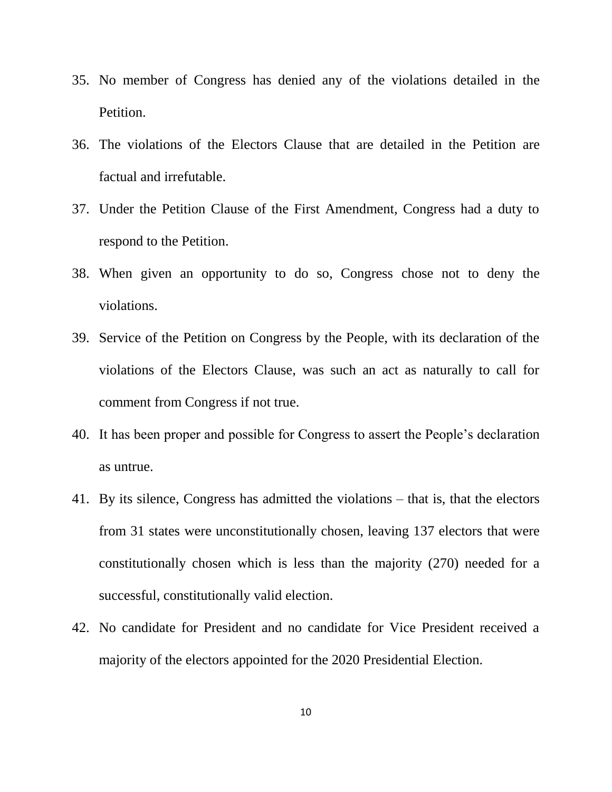- 35. No member of Congress has denied any of the violations detailed in the Petition.
- 36. The violations of the Electors Clause that are detailed in the Petition are factual and irrefutable.
- 37. Under the Petition Clause of the First Amendment, Congress had a duty to respond to the Petition.
- 38. When given an opportunity to do so, Congress chose not to deny the violations.
- 39. Service of the Petition on Congress by the People, with its declaration of the violations of the Electors Clause, was such an act as naturally to call for comment from Congress if not true.
- 40. It has been proper and possible for Congress to assert the People's declaration as untrue.
- 41. By its silence, Congress has admitted the violations that is, that the electors from 31 states were unconstitutionally chosen, leaving 137 electors that were constitutionally chosen which is less than the majority (270) needed for a successful, constitutionally valid election.
- 42. No candidate for President and no candidate for Vice President received a majority of the electors appointed for the 2020 Presidential Election.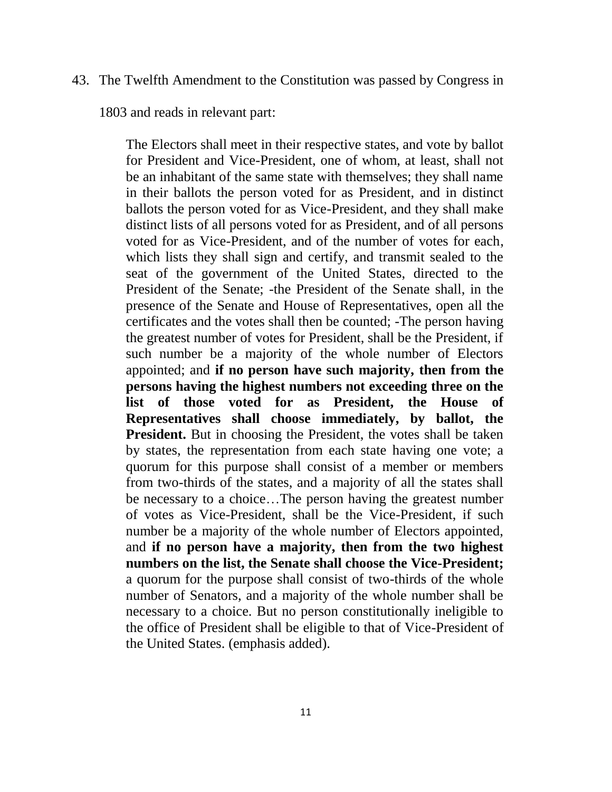#### 43. The Twelfth Amendment to the Constitution was passed by Congress in

1803 and reads in relevant part:

The Electors shall meet in their respective states, and vote by ballot for President and Vice-President, one of whom, at least, shall not be an inhabitant of the same state with themselves; they shall name in their ballots the person voted for as President, and in distinct ballots the person voted for as Vice-President, and they shall make distinct lists of all persons voted for as President, and of all persons voted for as Vice-President, and of the number of votes for each, which lists they shall sign and certify, and transmit sealed to the seat of the government of the United States, directed to the President of the Senate; -the President of the Senate shall, in the presence of the Senate and House of Representatives, open all the certificates and the votes shall then be counted; -The person having the greatest number of votes for President, shall be the President, if such number be a majority of the whole number of Electors appointed; and **if no person have such majority, then from the persons having the highest numbers not exceeding three on the list of those voted for as President, the House of Representatives shall choose immediately, by ballot, the President.** But in choosing the President, the votes shall be taken by states, the representation from each state having one vote; a quorum for this purpose shall consist of a member or members from two-thirds of the states, and a majority of all the states shall be necessary to a choice…The person having the greatest number of votes as Vice-President, shall be the Vice-President, if such number be a majority of the whole number of Electors appointed, and **if no person have a majority, then from the two highest numbers on the list, the Senate shall choose the Vice-President;**  a quorum for the purpose shall consist of two-thirds of the whole number of Senators, and a majority of the whole number shall be necessary to a choice. But no person constitutionally ineligible to the office of President shall be eligible to that of Vice-President of the United States. (emphasis added).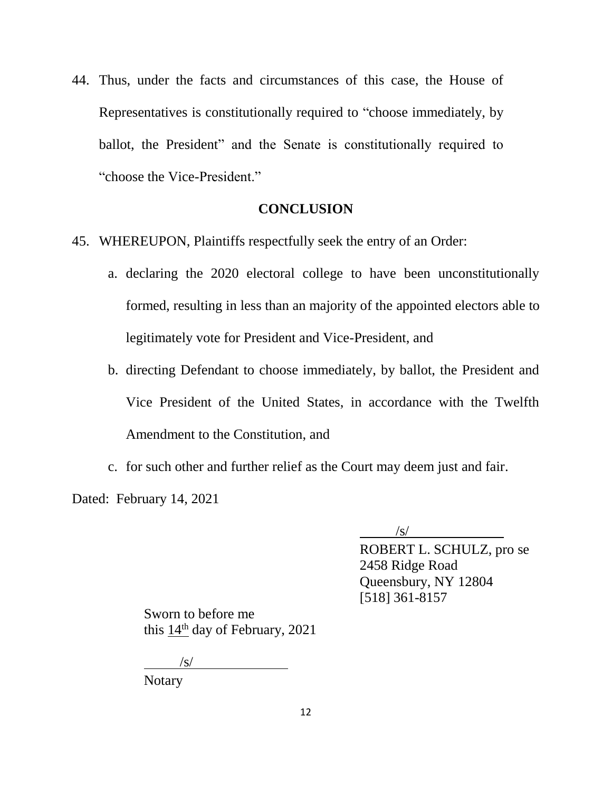44. Thus, under the facts and circumstances of this case, the House of Representatives is constitutionally required to "choose immediately, by ballot, the President" and the Senate is constitutionally required to "choose the Vice-President."

#### **CONCLUSION**

- 45. WHEREUPON, Plaintiffs respectfully seek the entry of an Order:
	- a. declaring the 2020 electoral college to have been unconstitutionally formed, resulting in less than an majority of the appointed electors able to legitimately vote for President and Vice-President, and
	- b. directing Defendant to choose immediately, by ballot, the President and Vice President of the United States, in accordance with the Twelfth Amendment to the Constitution, and
	- c. for such other and further relief as the Court may deem just and fair.

Dated: February 14, 2021

/s/

ROBERT L. SCHULZ, pro se 2458 Ridge Road Queensbury, NY 12804 [518] 361-8157

Sworn to before me this 14th day of February, 2021

 $\sqrt{s}$ /

Notary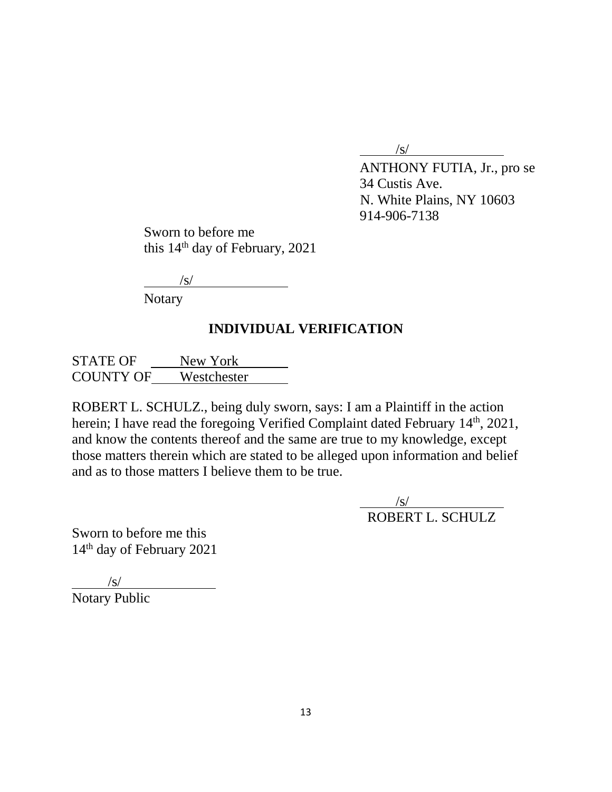$\sqrt{s}$ /

ANTHONY FUTIA, Jr., pro se 34 Custis Ave. N. White Plains, NY 10603 914-906-7138

Sworn to before me this 14th day of February, 2021

/s/

Notary

## **INDIVIDUAL VERIFICATION**

STATE OF New York COUNTY OF Westchester

ROBERT L. SCHULZ., being duly sworn, says: I am a Plaintiff in the action herein; I have read the foregoing Verified Complaint dated February 14<sup>th</sup>, 2021, and know the contents thereof and the same are true to my knowledge, except those matters therein which are stated to be alleged upon information and belief and as to those matters I believe them to be true.

> $\sqrt{s/}$ ROBERT L. SCHULZ

Sworn to before me this 14th day of February 2021

 $\sqrt{s/}$ Notary Public